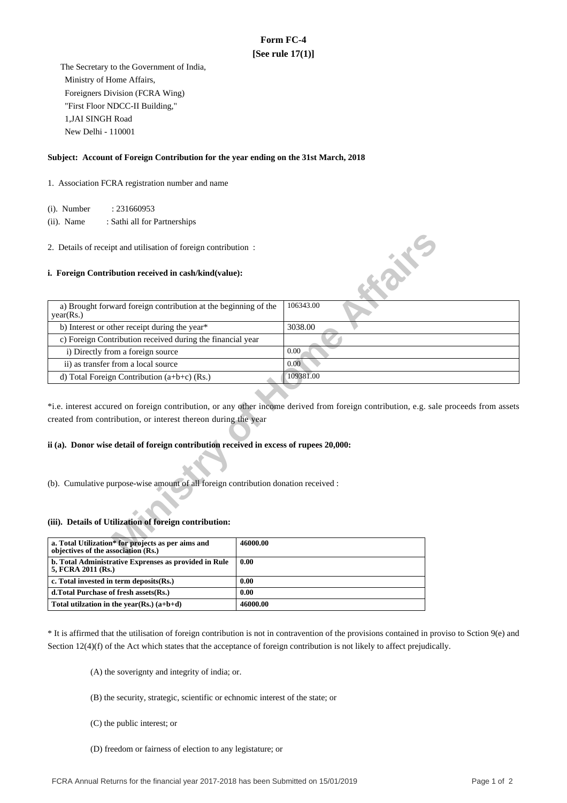# **Form FC-4 [See rule 17(1)]**

 The Secretary to the Government of India, Ministry of Home Affairs, Foreigners Division (FCRA Wing) "First Floor NDCC-II Building," 1,JAI SINGH Road New Delhi - 110001

### **Subject: Account of Foreign Contribution for the year ending on the 31st March, 2018**

1. Association FCRA registration number and name

(i). Number : 231660953

 (ii). Name : Sathi all for Partnerships

### **i. Foreign Contribution received in cash/kind(value):**

| 2. Details of receipt and utilisation of foreign contribution:                            |                                                                                                                                       |
|-------------------------------------------------------------------------------------------|---------------------------------------------------------------------------------------------------------------------------------------|
| i. Foreign Contribution received in cash/kind(value):                                     | <b>SILLER</b>                                                                                                                         |
| a) Brought forward foreign contribution at the beginning of the<br>year(Rs.)              | 106343.00                                                                                                                             |
| b) Interest or other receipt during the year*                                             | 3038.00                                                                                                                               |
| c) Foreign Contribution received during the financial year                                |                                                                                                                                       |
| i) Directly from a foreign source                                                         | 0.00                                                                                                                                  |
| ii) as transfer from a local source                                                       | 0.00                                                                                                                                  |
| d) Total Foreign Contribution $(a+b+c)$ (Rs.)                                             | 109381.00                                                                                                                             |
| created from contribution, or interest thereon during the year                            | *i.e. interest accured on foreign contribution, or any other income derived from foreign contribution, e.g. sale proceeds from assets |
| ii (a). Donor wise detail of foreign contribution received in excess of rupees 20,000:    |                                                                                                                                       |
| (b). Cumulative purpose-wise amount of all foreign contribution donation received :       |                                                                                                                                       |
| (iii). Details of Utilization of foreign contribution:                                    |                                                                                                                                       |
| a. Total Utilization* for projects as per aims and<br>objectives of the association (Rs.) | 46000.00                                                                                                                              |

## **ii (a). Donor wise detail of foreign contribution received in excess of rupees 20,000:**

#### **(iii). Details of Utilization of foreign contribution:**

| a. Total Utilization* for projects as per aims and<br>objectives of the association (Rs.) | 46000.00 |
|-------------------------------------------------------------------------------------------|----------|
| b. Total Administrative Exprenses as provided in Rule<br>5, FCRA 2011 (Rs.)               | 0.00     |
| c. Total invested in term deposits(Rs.)                                                   | 0.00     |
| d. Total Purchase of fresh assets (Rs.)                                                   | 0.00     |
| Total utilization in the year(Rs.) $(a+b+d)$                                              | 46000.00 |

\* It is affirmed that the utilisation of foreign contribution is not in contravention of the provisions contained in proviso to Sction 9(e) and Section 12(4)(f) of the Act which states that the acceptance of foreign contribution is not likely to affect prejudically.

(A) the soverignty and integrity of india; or.

- (B) the security, strategic, scientific or echnomic interest of the state; or
- (C) the public interest; or
- (D) freedom or fairness of election to any legistature; or